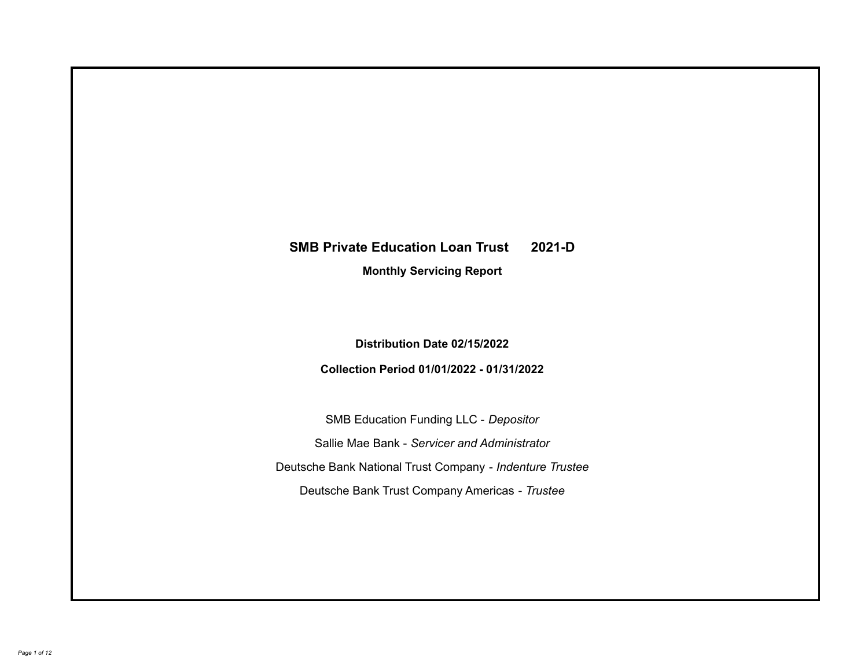# **SMB Private Education Loan Trust 2021-D**

**Monthly Servicing Report**

**Distribution Date 02/15/2022**

**Collection Period 01/01/2022 - 01/31/2022**

SMB Education Funding LLC - *Depositor* Sallie Mae Bank - *Servicer and Administrator* Deutsche Bank National Trust Company - *Indenture Trustee* Deutsche Bank Trust Company Americas - *Trustee*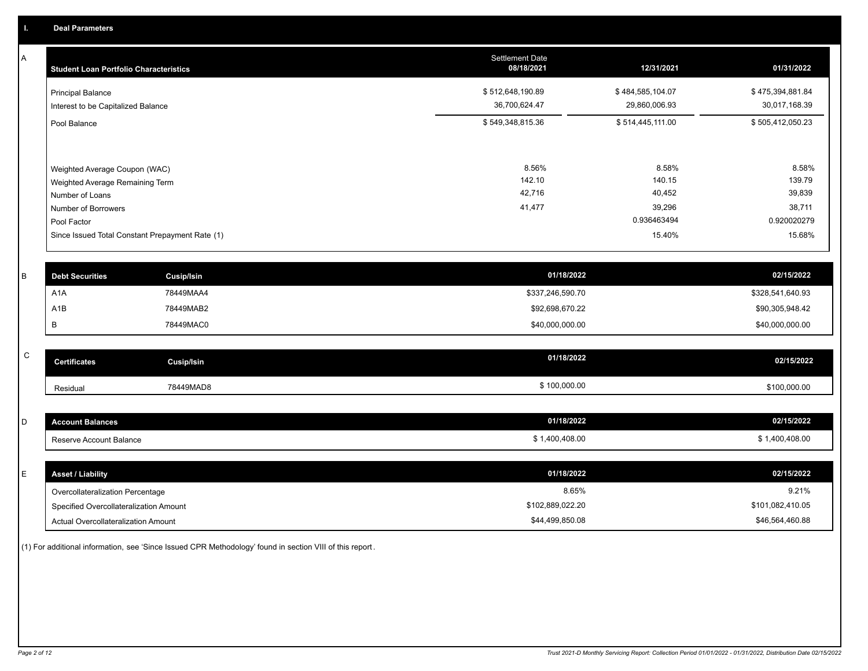A

| <b>Student Loan Portfolio Characteristics</b>                                       | <b>Settlement Date</b><br>08/18/2021 | 12/31/2021                        | 01/31/2022                        |
|-------------------------------------------------------------------------------------|--------------------------------------|-----------------------------------|-----------------------------------|
| <b>Principal Balance</b><br>Interest to be Capitalized Balance                      | \$512,648,190.89<br>36,700,624.47    | \$484,585,104.07<br>29,860,006.93 | \$475,394,881.84<br>30,017,168.39 |
| Pool Balance                                                                        | \$549,348,815.36                     | \$514,445,111.00                  | \$505,412,050.23                  |
| Weighted Average Coupon (WAC)<br>Weighted Average Remaining Term<br>Number of Loans | 8.56%<br>142.10<br>42,716            | 8.58%<br>140.15<br>40,452         | 8.58%<br>139.79<br>39,839         |
| Number of Borrowers                                                                 | 41,477                               | 39,296                            | 38,711                            |
| Pool Factor                                                                         |                                      | 0.936463494                       | 0.920020279                       |
| Since Issued Total Constant Prepayment Rate (1)                                     |                                      | 15.40%                            | 15.68%                            |

| <b>Debt Securities</b> | Cusip/Isin | 01/18/2022       | 02/15/2022       |
|------------------------|------------|------------------|------------------|
| A1A                    | 78449MAA4  | \$337,246,590.70 | \$328,541,640.93 |
| A1B                    | 78449MAB2  | \$92,698,670.22  | \$90,305,948.42  |
|                        | 78449MAC0  | \$40,000,000.00  | \$40,000,000.00  |

| $\sim$<br>ີ | <b>Certificates</b> | Cusip/Isin | 01/18/2022   | 02/15/2022   |
|-------------|---------------------|------------|--------------|--------------|
|             | Residual            | 78449MAD8  | \$100,000.00 | \$100,000.00 |

| <b>Account Balances</b> | 01/18/2022   | 02/15/2022  |
|-------------------------|--------------|-------------|
| Reserve Account Balance |              |             |
|                         | 1,400,408.00 | ,400,408.00 |

| E. | <b>Asset / Liability</b>               | 01/18/2022       | 02/15/2022       |
|----|----------------------------------------|------------------|------------------|
|    | Overcollateralization Percentage       | 8.65%            | 9.21%            |
|    | Specified Overcollateralization Amount | \$102,889,022.20 | \$101,082,410.05 |
|    | Actual Overcollateralization Amount    | \$44,499,850.08  | \$46,564,460.88  |

(1) For additional information, see 'Since Issued CPR Methodology' found in section VIII of this report .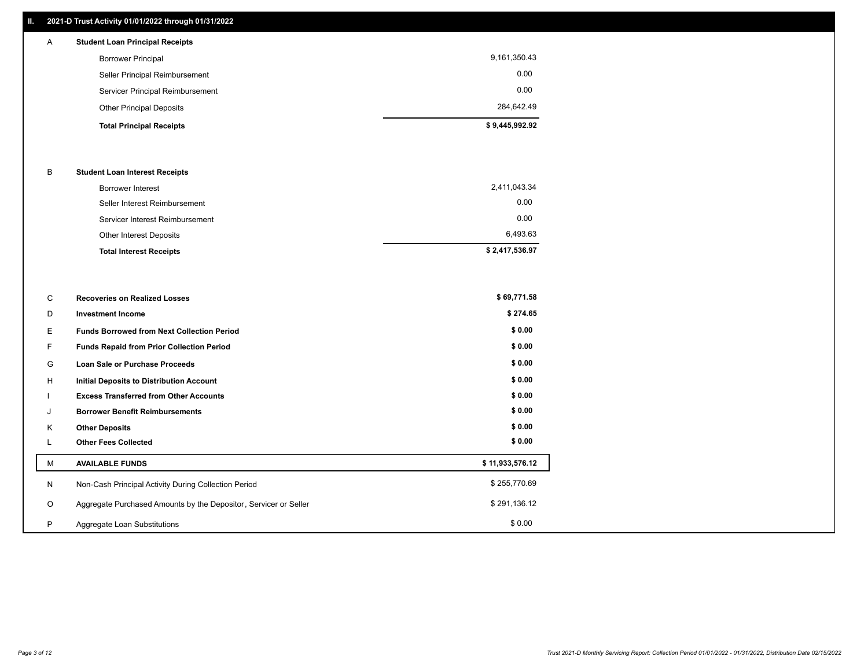## **II. 2021-D Trust Activity 01/01/2022 through 01/31/2022**

## **Total Principal Receipts \$ 9,445,992.92**  Other Principal Deposits 284,642.49 Servicer Principal Reimbursement 0.00 Seller Principal Reimbursement 0.00 Borrower Principal 9,161,350.43 A **Student Loan Principal Receipts**

#### B **Student Loan Interest Receipts**

| Borrower Interest               | 2,411,043.34   |
|---------------------------------|----------------|
| Seller Interest Reimbursement   | 0.00           |
| Servicer Interest Reimbursement | 0.00           |
| Other Interest Deposits         | 6,493.63       |
| <b>Total Interest Receipts</b>  | \$2,417,536.97 |

| C       | <b>Recoveries on Realized Losses</b>                             | \$69,771.58     |
|---------|------------------------------------------------------------------|-----------------|
| D       | <b>Investment Income</b>                                         | \$274.65        |
| Е.      | <b>Funds Borrowed from Next Collection Period</b>                | \$0.00          |
| F.      | <b>Funds Repaid from Prior Collection Period</b>                 | \$0.00          |
| G       | Loan Sale or Purchase Proceeds                                   | \$0.00          |
| H       | Initial Deposits to Distribution Account                         | \$0.00          |
|         | <b>Excess Transferred from Other Accounts</b>                    | \$0.00          |
| J       | <b>Borrower Benefit Reimbursements</b>                           | \$0.00          |
| K       | <b>Other Deposits</b>                                            | \$0.00          |
|         | <b>Other Fees Collected</b>                                      | \$0.00          |
| M       | <b>AVAILABLE FUNDS</b>                                           | \$11,933,576.12 |
| N       | Non-Cash Principal Activity During Collection Period             | \$255,770.69    |
| $\circ$ | Aggregate Purchased Amounts by the Depositor, Servicer or Seller | \$291,136.12    |
| P       | Aggregate Loan Substitutions                                     | \$0.00          |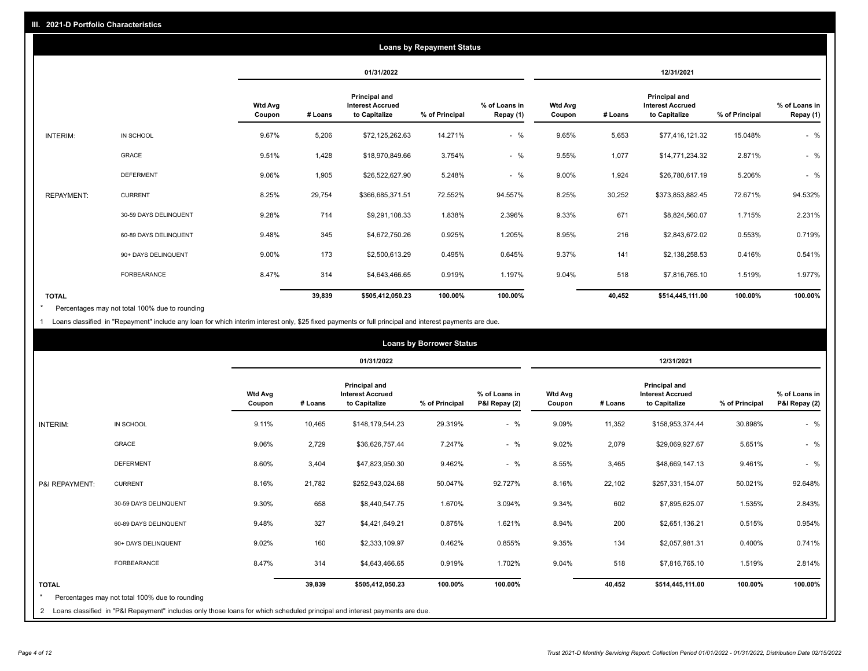|                   | <b>Loans by Repayment Status</b> |                          |         |                                                           |                |                            |                          |         |                                                           |                |                            |
|-------------------|----------------------------------|--------------------------|---------|-----------------------------------------------------------|----------------|----------------------------|--------------------------|---------|-----------------------------------------------------------|----------------|----------------------------|
|                   |                                  |                          |         | 01/31/2022                                                |                |                            |                          |         | 12/31/2021                                                |                |                            |
|                   |                                  | <b>Wtd Avg</b><br>Coupon | # Loans | Principal and<br><b>Interest Accrued</b><br>to Capitalize | % of Principal | % of Loans in<br>Repay (1) | <b>Wtd Avg</b><br>Coupon | # Loans | Principal and<br><b>Interest Accrued</b><br>to Capitalize | % of Principal | % of Loans in<br>Repay (1) |
| INTERIM:          | IN SCHOOL                        | 9.67%                    | 5,206   | \$72,125,262.63                                           | 14.271%        | $-$ %                      | 9.65%                    | 5,653   | \$77,416,121.32                                           | 15.048%        | $-$ %                      |
|                   | GRACE                            | 9.51%                    | 1,428   | \$18,970,849.66                                           | 3.754%         | $-$ %                      | 9.55%                    | 1,077   | \$14,771,234.32                                           | 2.871%         | $-$ %                      |
|                   | <b>DEFERMENT</b>                 | 9.06%                    | 1,905   | \$26,522,627.90                                           | 5.248%         | $-$ %                      | 9.00%                    | 1,924   | \$26,780,617.19                                           | 5.206%         | $-$ %                      |
| <b>REPAYMENT:</b> | <b>CURRENT</b>                   | 8.25%                    | 29,754  | \$366,685,371.51                                          | 72.552%        | 94.557%                    | 8.25%                    | 30,252  | \$373,853,882.45                                          | 72.671%        | 94.532%                    |
|                   | 30-59 DAYS DELINQUENT            | 9.28%                    | 714     | \$9,291,108.33                                            | 1.838%         | 2.396%                     | 9.33%                    | 671     | \$8,824,560.07                                            | 1.715%         | 2.231%                     |
|                   | 60-89 DAYS DELINQUENT            | 9.48%                    | 345     | \$4,672,750.26                                            | 0.925%         | 1.205%                     | 8.95%                    | 216     | \$2,843,672.02                                            | 0.553%         | 0.719%                     |
|                   | 90+ DAYS DELINQUENT              | 9.00%                    | 173     | \$2,500,613.29                                            | 0.495%         | 0.645%                     | 9.37%                    | 141     | \$2,138,258.53                                            | 0.416%         | 0.541%                     |
|                   | <b>FORBEARANCE</b>               | 8.47%                    | 314     | \$4,643,466.65                                            | 0.919%         | 1.197%                     | 9.04%                    | 518     | \$7,816,765.10                                            | 1.519%         | 1.977%                     |
| <b>TOTAL</b>      |                                  |                          | 39,839  | \$505,412,050.23                                          | 100.00%        | 100.00%                    |                          | 40,452  | \$514,445,111.00                                          | 100.00%        | 100.00%                    |

Percentages may not total 100% due to rounding \*

1 Loans classified in "Repayment" include any loan for which interim interest only, \$25 fixed payments or full principal and interest payments are due.

|                         | <b>Loans by Borrower Status</b>                                                                                              |                          |         |                                                                  |                |                                |                          |         |                                                                  |                |                                |
|-------------------------|------------------------------------------------------------------------------------------------------------------------------|--------------------------|---------|------------------------------------------------------------------|----------------|--------------------------------|--------------------------|---------|------------------------------------------------------------------|----------------|--------------------------------|
|                         |                                                                                                                              |                          |         | 01/31/2022                                                       |                |                                |                          |         | 12/31/2021                                                       |                |                                |
|                         |                                                                                                                              | <b>Wtd Avg</b><br>Coupon | # Loans | <b>Principal and</b><br><b>Interest Accrued</b><br>to Capitalize | % of Principal | % of Loans in<br>P&I Repay (2) | <b>Wtd Avg</b><br>Coupon | # Loans | <b>Principal and</b><br><b>Interest Accrued</b><br>to Capitalize | % of Principal | % of Loans in<br>P&I Repay (2) |
| INTERIM:                | IN SCHOOL                                                                                                                    | 9.11%                    | 10,465  | \$148,179,544.23                                                 | 29.319%        | $-$ %                          | 9.09%                    | 11,352  | \$158,953,374.44                                                 | 30.898%        | $-$ %                          |
|                         | <b>GRACE</b>                                                                                                                 | 9.06%                    | 2,729   | \$36,626,757.44                                                  | 7.247%         | $-$ %                          | 9.02%                    | 2,079   | \$29,069,927.67                                                  | 5.651%         | $-$ %                          |
|                         | <b>DEFERMENT</b>                                                                                                             | 8.60%                    | 3,404   | \$47,823,950.30                                                  | 9.462%         | $-$ %                          | 8.55%                    | 3,465   | \$48,669,147.13                                                  | 9.461%         | $-$ %                          |
| P&I REPAYMENT:          | <b>CURRENT</b>                                                                                                               | 8.16%                    | 21,782  | \$252,943,024.68                                                 | 50.047%        | 92.727%                        | 8.16%                    | 22,102  | \$257,331,154.07                                                 | 50.021%        | 92.648%                        |
|                         | 30-59 DAYS DELINQUENT                                                                                                        | 9.30%                    | 658     | \$8,440,547.75                                                   | 1.670%         | 3.094%                         | 9.34%                    | 602     | \$7,895,625.07                                                   | 1.535%         | 2.843%                         |
|                         | 60-89 DAYS DELINQUENT                                                                                                        | 9.48%                    | 327     | \$4,421,649.21                                                   | 0.875%         | 1.621%                         | 8.94%                    | 200     | \$2,651,136.21                                                   | 0.515%         | 0.954%                         |
|                         | 90+ DAYS DELINQUENT                                                                                                          | 9.02%                    | 160     | \$2,333,109.97                                                   | 0.462%         | 0.855%                         | 9.35%                    | 134     | \$2,057,981.31                                                   | 0.400%         | 0.741%                         |
|                         | FORBEARANCE                                                                                                                  | 8.47%                    | 314     | \$4,643,466.65                                                   | 0.919%         | 1.702%                         | 9.04%                    | 518     | \$7,816,765.10                                                   | 1.519%         | 2.814%                         |
| <b>TOTAL</b><br>$\star$ | Percentages may not total 100% due to rounding                                                                               |                          | 39,839  | \$505,412,050.23                                                 | 100.00%        | 100.00%                        |                          | 40,452  | \$514,445,111.00                                                 | 100.00%        | 100.00%                        |
|                         | 2 Loans classified in "P&I Repayment" includes only those loans for which scheduled principal and interest payments are due. |                          |         |                                                                  |                |                                |                          |         |                                                                  |                |                                |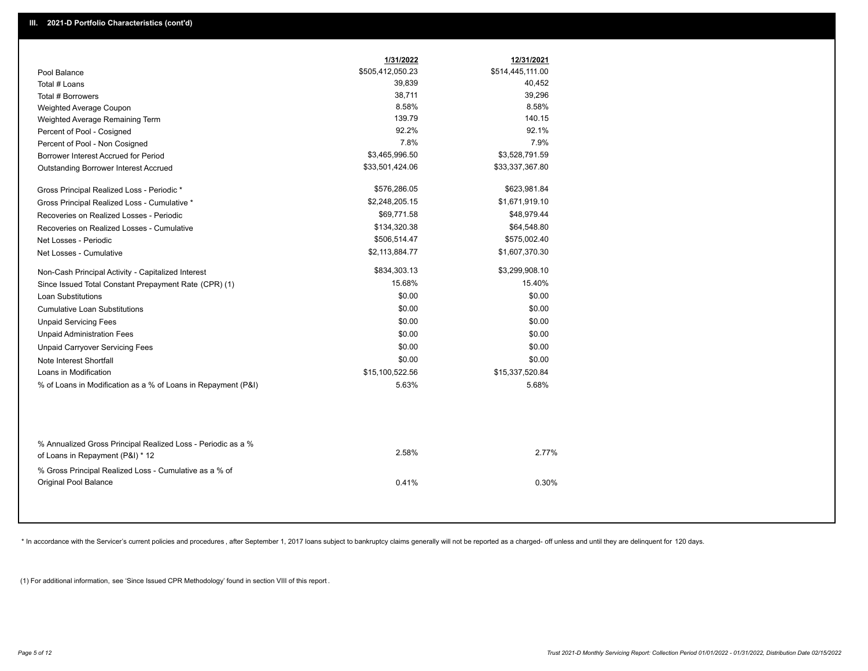|                                                               | 1/31/2022        | 12/31/2021       |
|---------------------------------------------------------------|------------------|------------------|
| Pool Balance                                                  | \$505,412,050.23 | \$514,445,111.00 |
| Total # Loans                                                 | 39,839           | 40,452           |
| Total # Borrowers                                             | 38,711           | 39,296           |
| Weighted Average Coupon                                       | 8.58%            | 8.58%            |
| Weighted Average Remaining Term                               | 139.79           | 140.15           |
| Percent of Pool - Cosigned                                    | 92.2%            | 92.1%            |
| Percent of Pool - Non Cosigned                                | 7.8%             | 7.9%             |
| Borrower Interest Accrued for Period                          | \$3,465,996.50   | \$3,528,791.59   |
| Outstanding Borrower Interest Accrued                         | \$33,501,424.06  | \$33,337,367.80  |
| Gross Principal Realized Loss - Periodic *                    | \$576,286.05     | \$623,981.84     |
| Gross Principal Realized Loss - Cumulative *                  | \$2,248,205.15   | \$1,671,919.10   |
| Recoveries on Realized Losses - Periodic                      | \$69,771.58      | \$48,979.44      |
| Recoveries on Realized Losses - Cumulative                    | \$134,320.38     | \$64,548.80      |
| Net Losses - Periodic                                         | \$506,514.47     | \$575,002.40     |
| Net Losses - Cumulative                                       | \$2,113,884.77   | \$1,607,370.30   |
| Non-Cash Principal Activity - Capitalized Interest            | \$834,303.13     | \$3,299,908.10   |
| Since Issued Total Constant Prepayment Rate (CPR) (1)         | 15.68%           | 15.40%           |
| <b>Loan Substitutions</b>                                     | \$0.00           | \$0.00           |
| <b>Cumulative Loan Substitutions</b>                          | \$0.00           | \$0.00           |
| <b>Unpaid Servicing Fees</b>                                  | \$0.00           | \$0.00           |
| <b>Unpaid Administration Fees</b>                             | \$0.00           | \$0.00           |
| <b>Unpaid Carryover Servicing Fees</b>                        | \$0.00           | \$0.00           |
| Note Interest Shortfall                                       | \$0.00           | \$0.00           |
| Loans in Modification                                         | \$15,100,522.56  | \$15,337,520.84  |
| % of Loans in Modification as a % of Loans in Repayment (P&I) | 5.63%            | 5.68%            |
|                                                               |                  |                  |
| % Annualized Gross Principal Realized Loss - Periodic as a %  | 2.58%            | 2.77%            |
| of Loans in Repayment (P&I) * 12                              |                  |                  |
| % Gross Principal Realized Loss - Cumulative as a % of        |                  |                  |
| Original Pool Balance                                         | 0.41%            | 0.30%            |

\* In accordance with the Servicer's current policies and procedures, after September 1, 2017 loans subject to bankruptcy claims generally will not be reported as a charged- off unless and until they are delinquent for 120

(1) For additional information, see 'Since Issued CPR Methodology' found in section VIII of this report .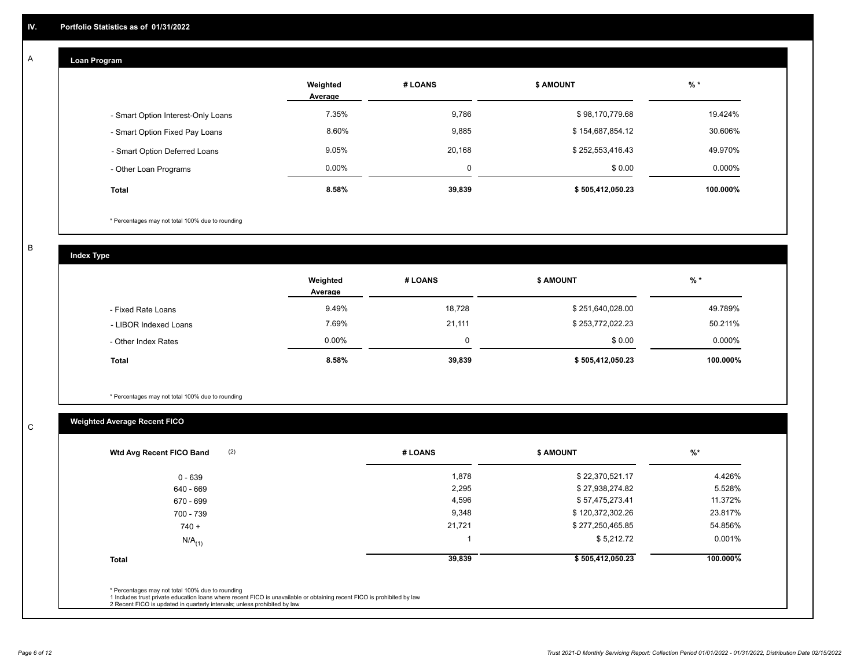## **Loan Program**

A

|                                    | Weighted<br>Average | # LOANS | <b>\$ AMOUNT</b> | $%$ *     |
|------------------------------------|---------------------|---------|------------------|-----------|
| - Smart Option Interest-Only Loans | 7.35%               | 9,786   | \$98,170,779.68  | 19.424%   |
| - Smart Option Fixed Pay Loans     | 8.60%               | 9,885   | \$154,687,854.12 | 30.606%   |
| - Smart Option Deferred Loans      | 9.05%               | 20,168  | \$252,553,416.43 | 49.970%   |
| - Other Loan Programs              | $0.00\%$            | 0       | \$0.00           | $0.000\%$ |
| <b>Total</b>                       | 8.58%               | 39,839  | \$505,412,050.23 | 100.000%  |

\* Percentages may not total 100% due to rounding

B

C

**Index Type**

|                       | Weighted<br>Average | # LOANS | <b>\$ AMOUNT</b> | $%$ *    |
|-----------------------|---------------------|---------|------------------|----------|
| - Fixed Rate Loans    | 9.49%               | 18,728  | \$251,640,028.00 | 49.789%  |
| - LIBOR Indexed Loans | 7.69%               | 21,111  | \$253,772,022.23 | 50.211%  |
| - Other Index Rates   | $0.00\%$            |         | \$0.00           | 0.000%   |
| <b>Total</b>          | $8.58\%$            | 39,839  | \$505,412,050.23 | 100.000% |

\* Percentages may not total 100% due to rounding

## **Weighted Average Recent FICO**

| (2)<br>Wtd Avg Recent FICO Band | # LOANS | <b>\$ AMOUNT</b> | $%$ *    |
|---------------------------------|---------|------------------|----------|
| $0 - 639$                       | 1,878   | \$22,370,521.17  | 4.426%   |
| 640 - 669                       | 2,295   | \$27,938,274.82  | 5.528%   |
| 670 - 699                       | 4,596   | \$57,475,273.41  | 11.372%  |
| 700 - 739                       | 9,348   | \$120,372,302.26 | 23.817%  |
| $740 +$                         | 21,721  | \$277,250,465.85 | 54.856%  |
| $N/A$ <sub>(1)</sub>            |         | \$5,212.72       | 0.001%   |
| <b>Total</b>                    | 39,839  | \$505,412,050.23 | 100.000% |
|                                 |         |                  |          |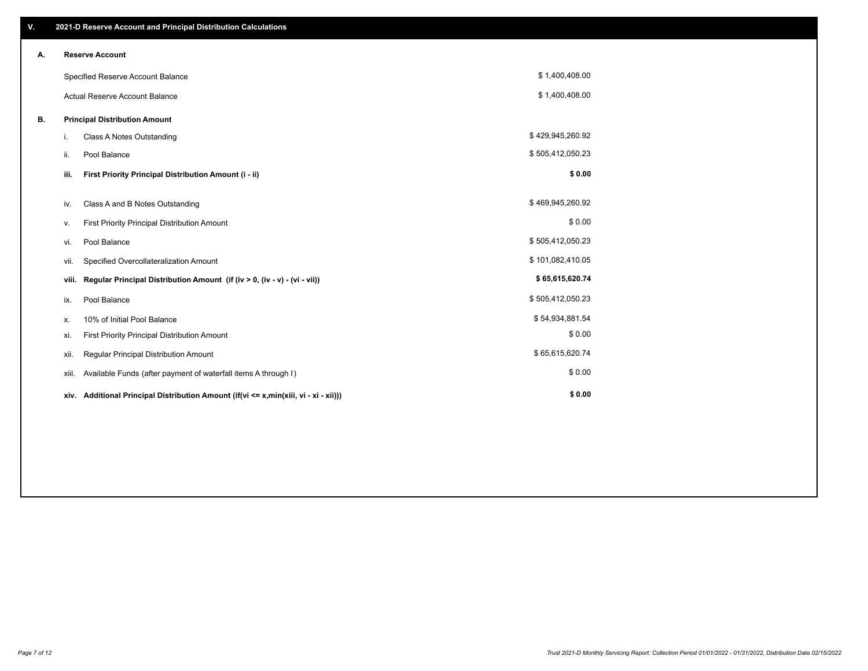| V. |       | 2021-D Reserve Account and Principal Distribution Calculations                       |                  |  |
|----|-------|--------------------------------------------------------------------------------------|------------------|--|
| А. |       | <b>Reserve Account</b>                                                               |                  |  |
|    |       | Specified Reserve Account Balance                                                    | \$1,400,408.00   |  |
|    |       | <b>Actual Reserve Account Balance</b>                                                | \$1,400,408.00   |  |
| В. |       | <b>Principal Distribution Amount</b>                                                 |                  |  |
|    | i.    | Class A Notes Outstanding                                                            | \$429,945,260.92 |  |
|    | ii.   | Pool Balance                                                                         | \$505,412,050.23 |  |
|    | iii.  | First Priority Principal Distribution Amount (i - ii)                                | \$0.00           |  |
|    | iv.   | Class A and B Notes Outstanding                                                      | \$469,945,260.92 |  |
|    | ۷.    | First Priority Principal Distribution Amount                                         | \$0.00           |  |
|    | vi.   | Pool Balance                                                                         | \$505,412,050.23 |  |
|    | vii.  | Specified Overcollateralization Amount                                               | \$101,082,410.05 |  |
|    | viii. | Regular Principal Distribution Amount (if (iv > 0, (iv - v) - (vi - vii))            | \$65,615,620.74  |  |
|    | ix.   | Pool Balance                                                                         | \$505,412,050.23 |  |
|    | х.    | 10% of Initial Pool Balance                                                          | \$54,934,881.54  |  |
|    | xi.   | First Priority Principal Distribution Amount                                         | \$0.00           |  |
|    | xii.  | Regular Principal Distribution Amount                                                | \$65,615,620.74  |  |
|    | XIII. | Available Funds (after payment of waterfall items A through I)                       | \$0.00           |  |
|    |       | xiv. Additional Principal Distribution Amount (if(vi <= x,min(xiii, vi - xi - xii))) | \$0.00           |  |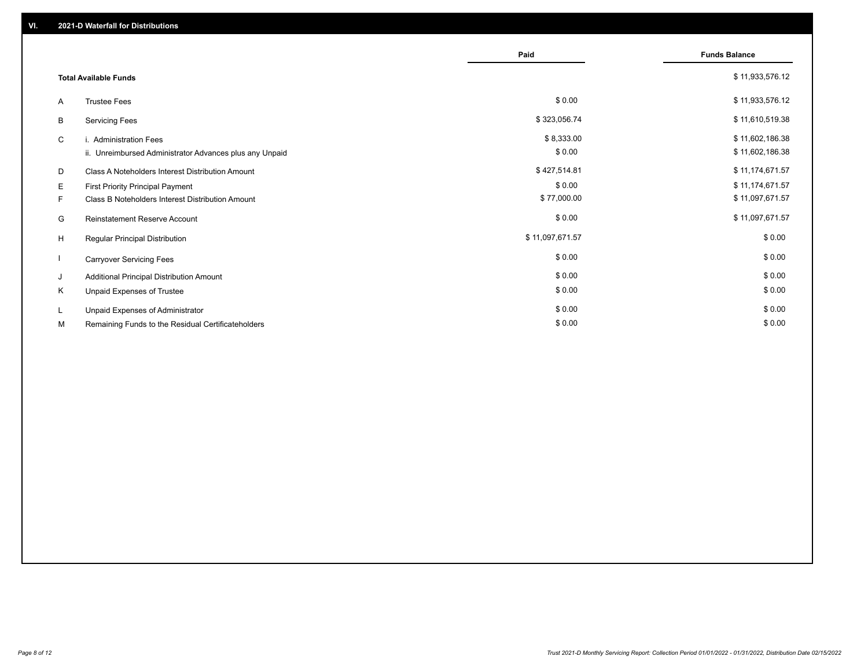|    |                                                         | Paid            | <b>Funds Balance</b> |
|----|---------------------------------------------------------|-----------------|----------------------|
|    |                                                         |                 |                      |
|    | <b>Total Available Funds</b>                            |                 | \$11,933,576.12      |
| A  | <b>Trustee Fees</b>                                     | \$0.00          | \$11,933,576.12      |
| B  | <b>Servicing Fees</b>                                   | \$323,056.74    | \$11,610,519.38      |
| C  | i. Administration Fees                                  | \$8,333.00      | \$11,602,186.38      |
|    | ii. Unreimbursed Administrator Advances plus any Unpaid | \$0.00          | \$11,602,186.38      |
| D  | Class A Noteholders Interest Distribution Amount        | \$427,514.81    | \$11,174,671.57      |
| Е  | First Priority Principal Payment                        | \$0.00          | \$11,174,671.57      |
| F. | Class B Noteholders Interest Distribution Amount        | \$77,000.00     | \$11,097,671.57      |
| G  | <b>Reinstatement Reserve Account</b>                    | \$0.00          | \$11,097,671.57      |
| H  | Regular Principal Distribution                          | \$11,097,671.57 | \$0.00               |
|    | <b>Carryover Servicing Fees</b>                         | \$0.00          | \$0.00               |
| J  | Additional Principal Distribution Amount                | \$0.00          | \$0.00               |
| Κ  | Unpaid Expenses of Trustee                              | \$0.00          | \$0.00               |
| L  | Unpaid Expenses of Administrator                        | \$0.00          | \$0.00               |
| М  | Remaining Funds to the Residual Certificateholders      | \$0.00          | \$0.00               |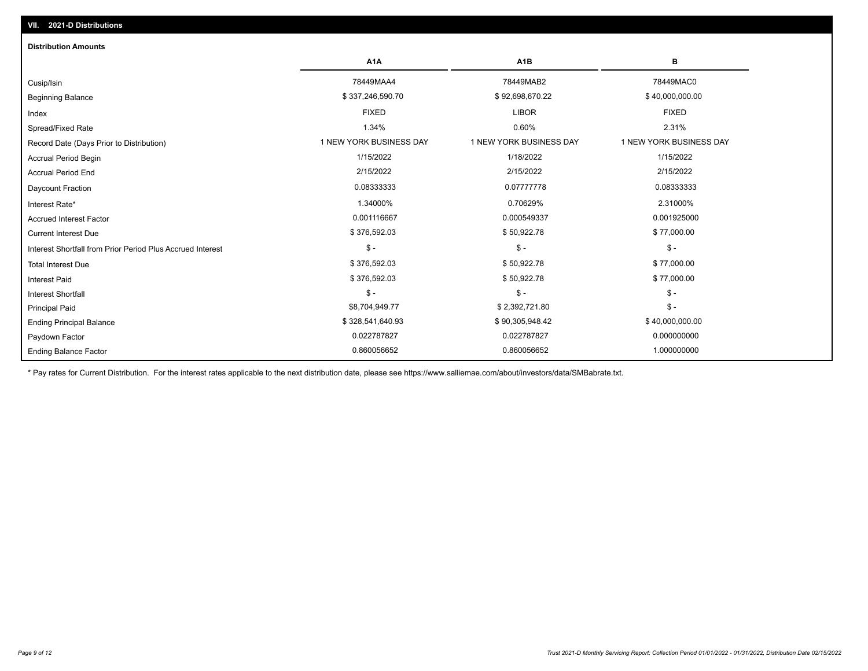| <b>Distribution Amounts</b>                                |                         |                         |                         |
|------------------------------------------------------------|-------------------------|-------------------------|-------------------------|
|                                                            | A <sub>1</sub> A        | A <sub>1</sub> B        | в                       |
| Cusip/Isin                                                 | 78449MAA4               | 78449MAB2               | 78449MAC0               |
| <b>Beginning Balance</b>                                   | \$337,246,590.70        | \$92,698,670.22         | \$40,000,000.00         |
| Index                                                      | <b>FIXED</b>            | <b>LIBOR</b>            | <b>FIXED</b>            |
| Spread/Fixed Rate                                          | 1.34%                   | 0.60%                   | 2.31%                   |
| Record Date (Days Prior to Distribution)                   | 1 NEW YORK BUSINESS DAY | 1 NEW YORK BUSINESS DAY | 1 NEW YORK BUSINESS DAY |
| <b>Accrual Period Begin</b>                                | 1/15/2022               | 1/18/2022               | 1/15/2022               |
| <b>Accrual Period End</b>                                  | 2/15/2022               | 2/15/2022               | 2/15/2022               |
| Daycount Fraction                                          | 0.08333333              | 0.07777778              | 0.08333333              |
| Interest Rate*                                             | 1.34000%                | 0.70629%                | 2.31000%                |
| <b>Accrued Interest Factor</b>                             | 0.001116667             | 0.000549337             | 0.001925000             |
| <b>Current Interest Due</b>                                | \$376,592.03            | \$50,922.78             | \$77,000.00             |
| Interest Shortfall from Prior Period Plus Accrued Interest | $$ -$                   | $\mathsf{\$}$ -         | $\mathcal{S}$ -         |
| <b>Total Interest Due</b>                                  | \$376,592.03            | \$50,922.78             | \$77,000.00             |
| <b>Interest Paid</b>                                       | \$376,592.03            | \$50,922.78             | \$77,000.00             |
| <b>Interest Shortfall</b>                                  | $$ -$                   | $$ -$                   | $\mathsf{\$}$ -         |
| <b>Principal Paid</b>                                      | \$8,704,949.77          | \$2,392,721.80          | $$ -$                   |
| <b>Ending Principal Balance</b>                            | \$328,541,640.93        | \$90,305,948.42         | \$40,000,000.00         |
| Paydown Factor                                             | 0.022787827             | 0.022787827             | 0.000000000             |
| <b>Ending Balance Factor</b>                               | 0.860056652             | 0.860056652             | 1.000000000             |

\* Pay rates for Current Distribution. For the interest rates applicable to the next distribution date, please see https://www.salliemae.com/about/investors/data/SMBabrate.txt.

**VII. 2021-D Distributions**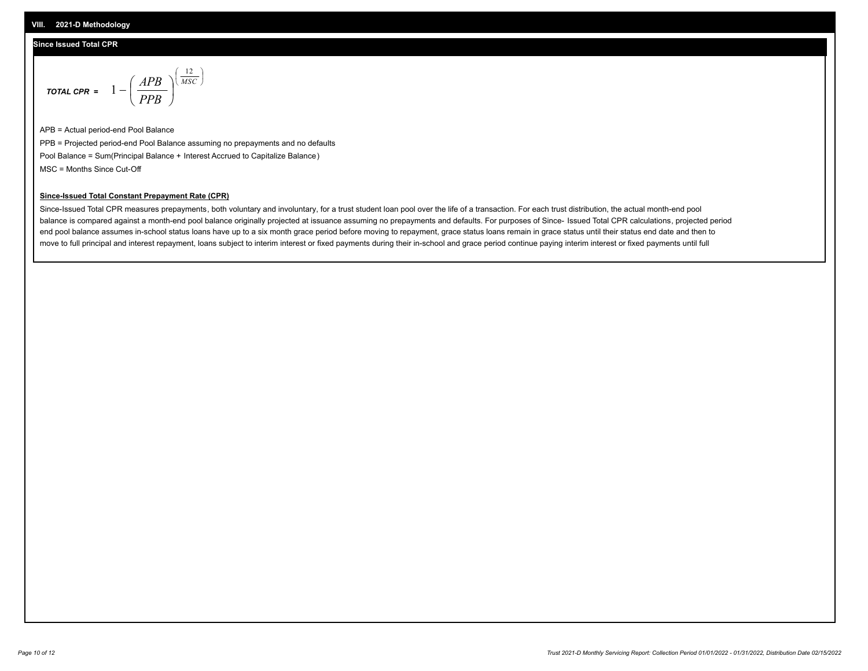## **Since Issued Total CPR**

$$
\text{total cPR} = 1 - \left(\frac{APB}{PPB}\right)^{\left(\frac{12}{MSC}\right)}
$$

APB = Actual period-end Pool Balance PPB = Projected period-end Pool Balance assuming no prepayments and no defaults Pool Balance = Sum(Principal Balance + Interest Accrued to Capitalize Balance) MSC = Months Since Cut-Off

I J Ι

#### **Since-Issued Total Constant Prepayment Rate (CPR)**

Since-Issued Total CPR measures prepayments, both voluntary and involuntary, for a trust student loan pool over the life of a transaction. For each trust distribution, the actual month-end pool balance is compared against a month-end pool balance originally projected at issuance assuming no prepayments and defaults. For purposes of Since- Issued Total CPR calculations, projected period end pool balance assumes in-school status loans have up to a six month grace period before moving to repayment, grace status loans remain in grace status until their status end date and then to move to full principal and interest repayment, loans subject to interim interest or fixed payments during their in-school and grace period continue paying interim interest or fixed payments until full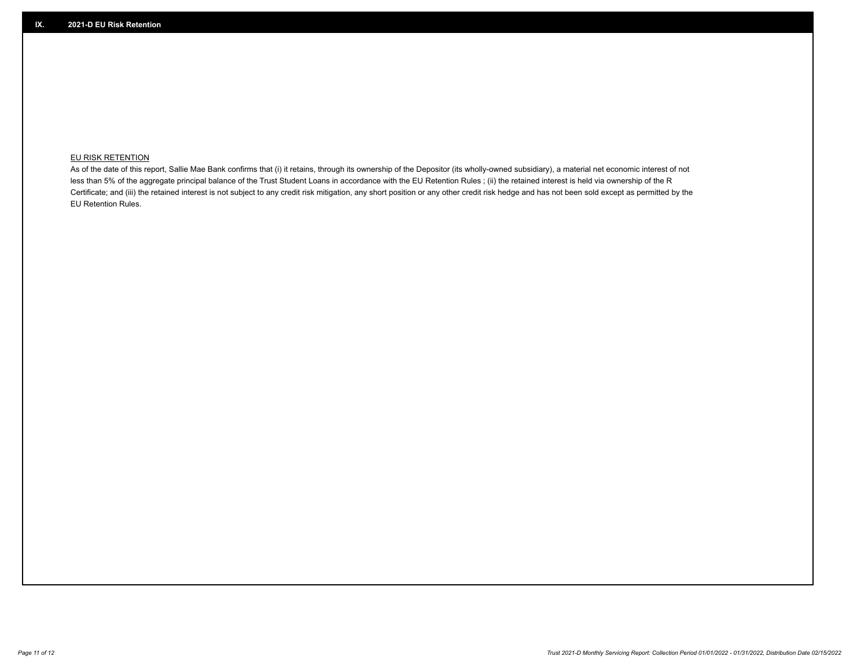## **EU RISK RETENTION**

As of the date of this report, Sallie Mae Bank confirms that (i) it retains, through its ownership of the Depositor (its wholly-owned subsidiary), a material net economic interest of not less than 5% of the aggregate principal balance of the Trust Student Loans in accordance with the EU Retention Rules ; (ii) the retained interest is held via ownership of the R Certificate; and (iii) the retained interest is not subject to any credit risk mitigation, any short position or any other credit risk hedge and has not been sold except as permitted by the EU Retention Rules.